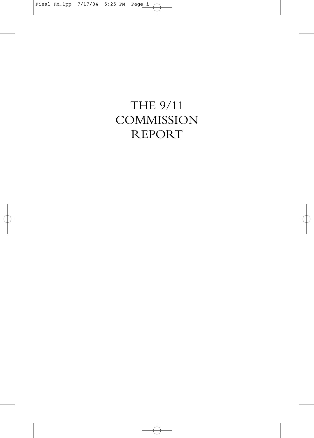# THE 9/11 **COMMISSION** REPORT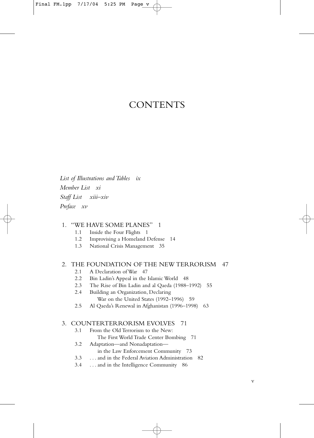### **CONTENTS**

*List of Illustrations and Tables ix Member List xi Staff List xiii–xiv Preface xv*

### 1. "WE HAVE SOME PLANES" 1

- 1.1 Inside the Four Flights 1
- 1.2 Improvising a Homeland Defense 14
- 1.3 National Crisis Management 35

# 2. THE FOUNDATION OF THE NEW TERRORISM 47<br>2.1 A Declaration of War 47

- A Declaration of War 47
- 2.2 Bin Ladin's Appeal in the Islamic World 48
- 2.3 The Rise of Bin Ladin and al Qaeda (1988–1992) 55
- 2.4 Building an Organization, Declaring War on the United States (1992–1996) 59
- 2.5 Al Qaeda's Renewal in Afghanistan (1996–1998) 63

# 3. COUNTERTERRORISM EVOLVES 71

- From the Old Terrorism to the New: The First World Trade Center Bombing 71
- 3.2 Adaptation—and Nonadaptation in the Law Enforcement Community 73
- 3.3 . . . and in the Federal Aviation Administration 82
- 3.4 . . . and in the Intelligence Community 86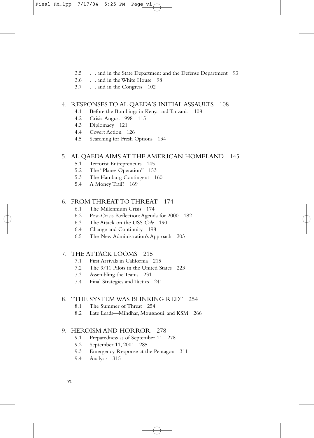- 3.5 . . . and in the State Department and the Defense Department 93
- 3.6 . . . and in the White House 98
- 3.7 . . . and in the Congress 102

#### 4. RESPONSES TO AL QAEDA'S INITIAL ASSAULTS 108

- 4.1 Before the Bombings in Kenya and Tanzania 108
- 4.2 Crisis:August 1998 115
- 4.3 Diplomacy 121
- 4.4 Covert Action 126
- 4.5 Searching for Fresh Options 134

#### 5. AL QAEDA AIMS AT THE AMERICAN HOMELAND 145

- 5.1 Terrorist Entrepreneurs 145
- 5.2 The "Planes Operation" 153
- 5.3 The Hamburg Contingent 160
- 5.4 A Money Trail? 169

### 6. FROM THREAT TO THREAT 174

- 6.1 The Millennium Crisis 174
- 6.2 Post-Crisis Reflection:Agenda for 2000 182
- 6.3 The Attack on the USS *Cole* 190
- 6.4 Change and Continuity 198
- 6.5 The New Administration's Approach 203

#### 7. THE ATTACK LOOMS 215

- 7.1 First Arrivals in California 215
- 7.2 The 9/11 Pilots in the United States 223
- 7.3 Assembling the Teams 231
- 7.4 Final Strategies and Tactics 241

#### 8. "THE SYSTEM WAS BLINKING RED" 254

- 8.1 The Summer of Threat 254
- 8.2 Late Leads—Mihdhar, Moussaoui, and KSM 266

#### 9. HEROISM AND HORROR 278

- 9.1 Preparedness as of September 11 278
- 9.2 September 11, 2001 285
- 9.3 Emergency Response at the Pentagon 311
- 9.4 Analysis 315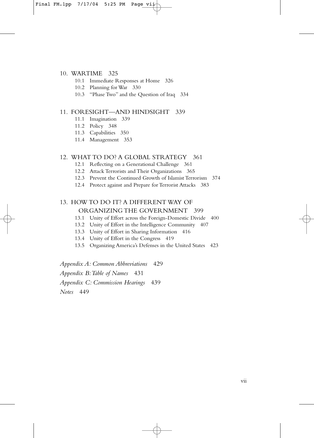#### 10. WARTIME 325

- 10.1 Immediate Responses at Home 326
- 10.2 Planning for War 330
- 10.3 "Phase Two" and the Question of Iraq 334

#### 11. FORESIGHT—AND HINDSIGHT 339

- 11.1 Imagination 339
- 11.2 Policy 348
- 11.3 Capabilities 350
- 11.4 Management 353

#### 12. WHAT TO DO? A GLOBAL STRATEGY 361

- 12.1 Reflecting on a Generational Challenge 361
- 12.2 Attack Terrorists and Their Organizations 365
- 12.3 Prevent the Continued Growth of Islamist Terrorism 374
- 12.4 Protect against and Prepare for Terrorist Attacks 383

#### 13. HOW TO DO IT? A DIFFERENT WAY OF ORGANIZING THE GOVERNMENT 399

- 13.1 Unity of Effort across the Foreign-Domestic Divide 400
- 13.2 Unity of Effort in the Intelligence Community 407
- 13.3 Unity of Effort in Sharing Information 416
- 13.4 Unity of Effort in the Congress 419
- 13.5 Organizing America's Defenses in the United States 423

*Appendix A: Common Abbreviations* 429

*Appendix B:Table of Names* 431

*Appendix C: Commission Hearings* 439

*Notes* 449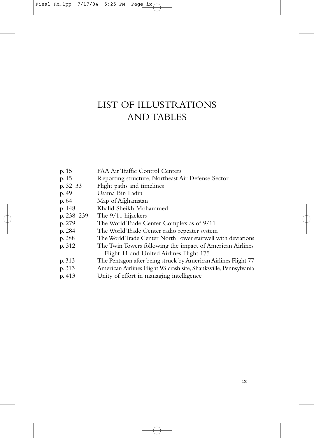# LIST OF ILLUSTRATIONS AND TABLES

| p. 15      | FAA Air Traffic Control Centers                                   |
|------------|-------------------------------------------------------------------|
| p. 15      | Reporting structure, Northeast Air Defense Sector                 |
| p. 32–33   | Flight paths and timelines                                        |
| p. 49      | Usama Bin Ladin                                                   |
| p. 64      | Map of Afghanistan                                                |
| p. 148     | Khalid Sheikh Mohammed                                            |
| p. 238–239 | The 9/11 hijackers                                                |
| p. 279     | The World Trade Center Complex as of 9/11                         |
| p. 284     | The World Trade Center radio repeater system                      |
| p. 288     | The World Trade Center North Tower stairwell with deviations      |
| p. 312     | The Twin Towers following the impact of American Airlines         |
|            | Flight 11 and United Airlines Flight 175                          |
| p. 313     | The Pentagon after being struck by American Airlines Flight 77    |
| p. 313     | American Airlines Flight 93 crash site, Shanksville, Pennsylvania |
| p. 413     | Unity of effort in managing intelligence                          |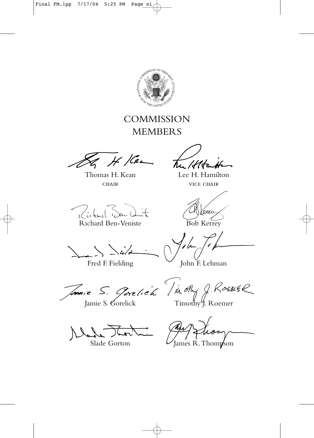

### **COMMISSION** MEMBERS

 $H$ / Cen

Thomas H. Kean CHAIR

Richard Ben-Veniste

Lee H. Hamilton

vice chair

Bob Kerrey

Fred F. Fielding

John F. Lehman

/*c*mie

Slade Gorton

Jamie S. Gorelick Timothy J. Roemer

James R.Thompson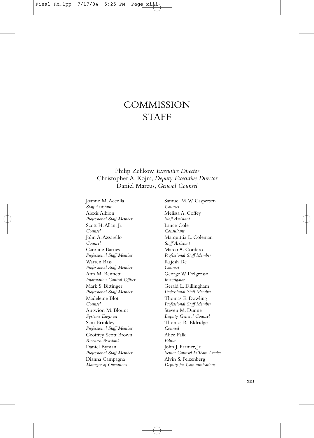### **COMMISSION STAFF**

Philip Zelikow, *Executive Director* Christopher A. Kojm, *Deputy Executive Director* Daniel Marcus, *General Counsel*

Joanne M.Accolla *Staff Assistant* Alexis Albion *Professional Staff Member* Scott H.Allan, Jr. *Counsel* John A.Azzarello *Counsel* Caroline Barnes *Professional Staff Member* Warren Bass *Professional Staff Member* Ann M. Bennett *Information Control Officer* Mark S. Bittinger *Professional Staff Member* Madeleine Blot *Counsel* Antwion M. Blount *Systems Engineer* Sam Brinkley *Professional Staff Member* Geoffrey Scott Brown *Research Assistant* Daniel Byman *Professional Staff Member* Dianna Campagna *Manager of Operations*

Samuel M.W. Caspersen *Counsel* Melissa A. Coffey *Staff Assistant* Lance Cole *Consultant* Marquittia L. Coleman *Staff Assistant* Marco A. Cordero *Professional Staff Member* Rajesh De *Counsel* George W. Delgrosso *Investigator* Gerald L. Dillingham *Professional Staff Member* Thomas E. Dowling *Professional Staff Member* Steven M. Dunne *Deputy General Counsel* Thomas R. Eldridge *Counsel* Alice Falk *Editor* John J. Farmer, Jr. *Senior Counsel & Team Leader* Alvin S. Felzenberg *Deputy for Communications*